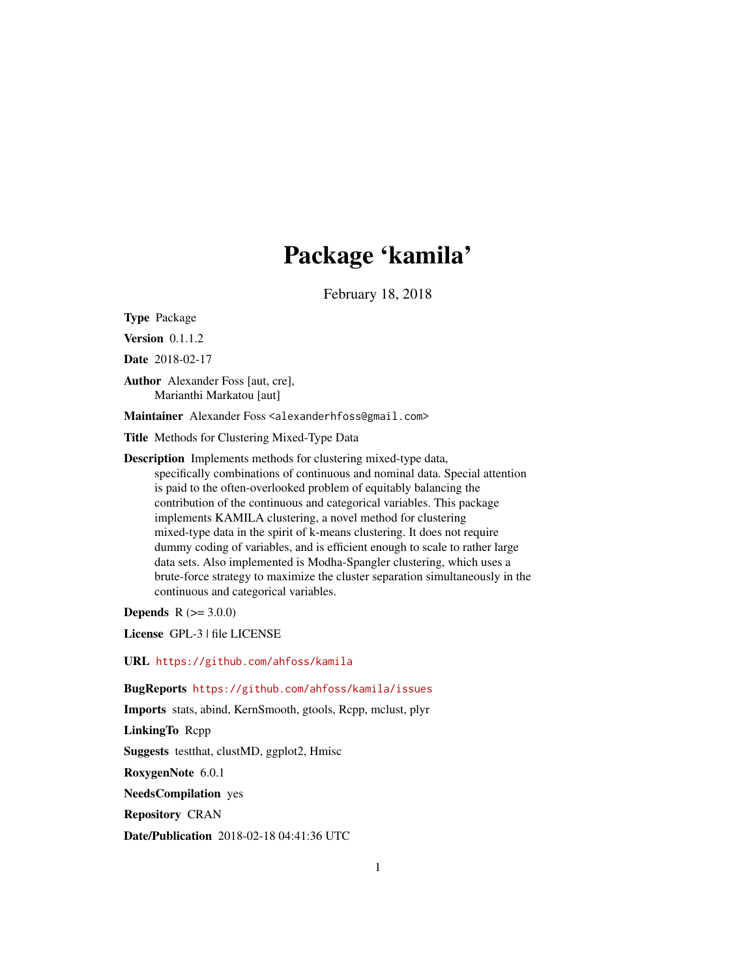## Package 'kamila'

February 18, 2018

<span id="page-0-0"></span>Type Package

Version 0.1.1.2

Date 2018-02-17

Author Alexander Foss [aut, cre], Marianthi Markatou [aut]

Maintainer Alexander Foss <alexanderhfoss@gmail.com>

Title Methods for Clustering Mixed-Type Data

Description Implements methods for clustering mixed-type data, specifically combinations of continuous and nominal data. Special attention is paid to the often-overlooked problem of equitably balancing the contribution of the continuous and categorical variables. This package implements KAMILA clustering, a novel method for clustering mixed-type data in the spirit of k-means clustering. It does not require dummy coding of variables, and is efficient enough to scale to rather large data sets. Also implemented is Modha-Spangler clustering, which uses a brute-force strategy to maximize the cluster separation simultaneously in the continuous and categorical variables.

**Depends**  $R (= 3.0.0)$ 

License GPL-3 | file LICENSE

URL <https://github.com/ahfoss/kamila>

BugReports <https://github.com/ahfoss/kamila/issues>

Imports stats, abind, KernSmooth, gtools, Rcpp, mclust, plyr

LinkingTo Rcpp

Suggests testthat, clustMD, ggplot2, Hmisc

RoxygenNote 6.0.1

NeedsCompilation yes

Repository CRAN

Date/Publication 2018-02-18 04:41:36 UTC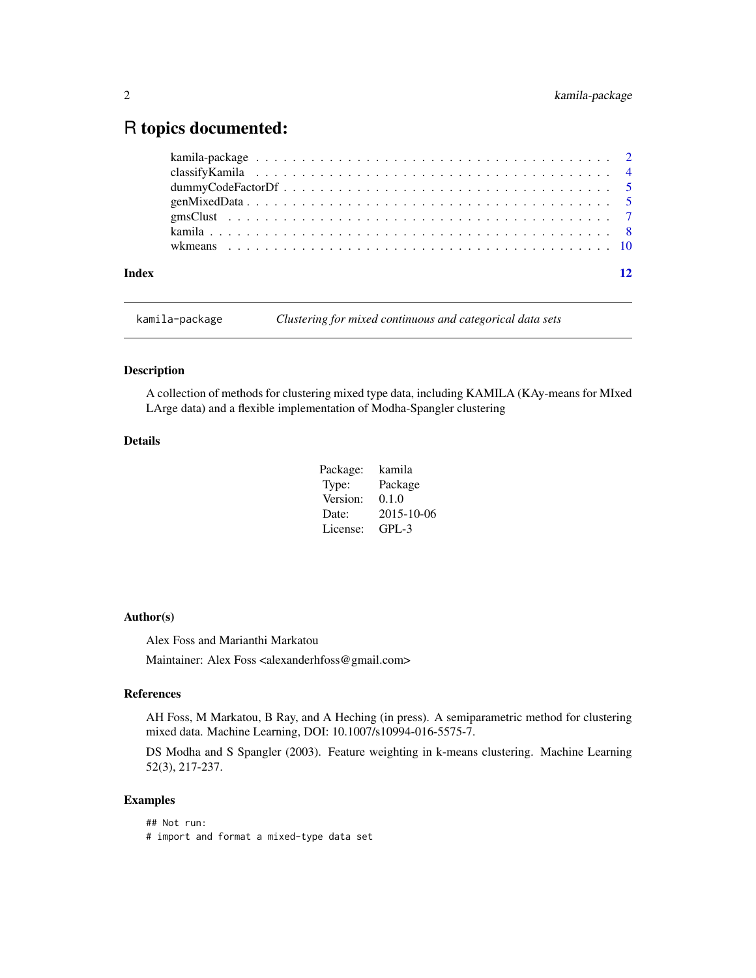### <span id="page-1-0"></span>R topics documented:

| Index | 12 |
|-------|----|

kamila-package *Clustering for mixed continuous and categorical data sets*

#### Description

A collection of methods for clustering mixed type data, including KAMILA (KAy-means for MIxed LArge data) and a flexible implementation of Modha-Spangler clustering

#### Details

| Package: | kamila     |
|----------|------------|
| Type:    | Package    |
| Version: | 0.1.0      |
| Date:    | 2015-10-06 |
| License: | GPL-3      |

#### Author(s)

Alex Foss and Marianthi Markatou

Maintainer: Alex Foss <alexanderhfoss@gmail.com>

#### References

AH Foss, M Markatou, B Ray, and A Heching (in press). A semiparametric method for clustering mixed data. Machine Learning, DOI: 10.1007/s10994-016-5575-7.

DS Modha and S Spangler (2003). Feature weighting in k-means clustering. Machine Learning 52(3), 217-237.

#### Examples

## Not run: # import and format a mixed-type data set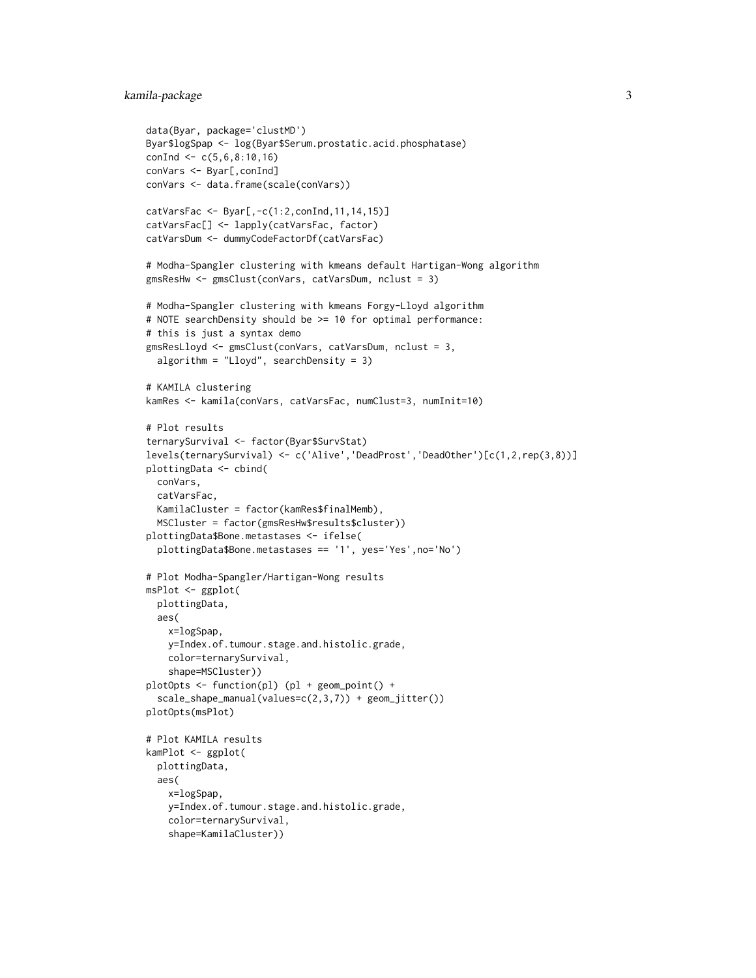#### kamila-package 3

```
data(Byar, package='clustMD')
Byar$logSpap <- log(Byar$Serum.prostatic.acid.phosphatase)
conInd \leq -c(5, 6, 8:10, 16)conVars <- Byar[,conInd]
conVars <- data.frame(scale(conVars))
catVarsFac <- Byar[,-c(1:2,conInd,11,14,15)]
catVarsFac[] <- lapply(catVarsFac, factor)
catVarsDum <- dummyCodeFactorDf(catVarsFac)
# Modha-Spangler clustering with kmeans default Hartigan-Wong algorithm
gmsResHw <- gmsClust(conVars, catVarsDum, nclust = 3)
# Modha-Spangler clustering with kmeans Forgy-Lloyd algorithm
# NOTE searchDensity should be >= 10 for optimal performance:
# this is just a syntax demo
gmsResLloyd <- gmsClust(conVars, catVarsDum, nclust = 3,
  algorithm = "Lloyd", searchDensity = 3)
# KAMILA clustering
kamRes <- kamila(conVars, catVarsFac, numClust=3, numInit=10)
# Plot results
ternarySurvival <- factor(Byar$SurvStat)
levels(ternarySurvival) <- c('Alive','DeadProst','DeadOther')[c(1,2,rep(3,8))]
plottingData <- cbind(
  conVars,
  catVarsFac,
  KamilaCluster = factor(kamRes$finalMemb),
  MSCluster = factor(gmsResHw$results$cluster))
plottingData$Bone.metastases <- ifelse(
  plottingData$Bone.metastases == '1', yes='Yes',no='No')
# Plot Modha-Spangler/Hartigan-Wong results
msPlot <- ggplot(
  plottingData,
  aes(
    x=logSpap,
    y=Index.of.tumour.stage.and.histolic.grade,
    color=ternarySurvival,
    shape=MSCluster))
plotOpts <- function(pl) (pl + geom_point() +
  scale_shape_manual(values=c(2,3,7)) + geom_jitter())
plotOpts(msPlot)
# Plot KAMILA results
kamPlot <- ggplot(
  plottingData,
  aes(
    x=logSpap,
    y=Index.of.tumour.stage.and.histolic.grade,
    color=ternarySurvival,
    shape=KamilaCluster))
```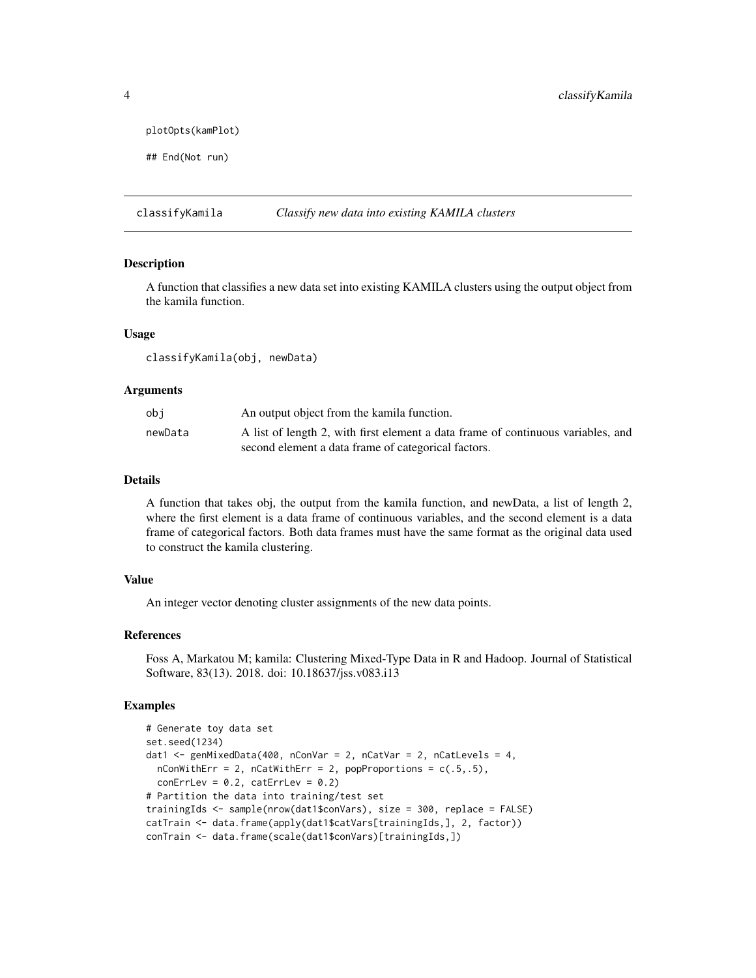```
plotOpts(kamPlot)
```

```
## End(Not run)
```
classifyKamila *Classify new data into existing KAMILA clusters*

#### Description

A function that classifies a new data set into existing KAMILA clusters using the output object from the kamila function.

#### Usage

```
classifyKamila(obj, newData)
```
#### Arguments

| obi     | An output object from the kamila function.                                       |
|---------|----------------------------------------------------------------------------------|
| newData | A list of length 2, with first element a data frame of continuous variables, and |
|         | second element a data frame of categorical factors.                              |

#### Details

A function that takes obj, the output from the kamila function, and newData, a list of length 2, where the first element is a data frame of continuous variables, and the second element is a data frame of categorical factors. Both data frames must have the same format as the original data used to construct the kamila clustering.

#### Value

An integer vector denoting cluster assignments of the new data points.

#### References

Foss A, Markatou M; kamila: Clustering Mixed-Type Data in R and Hadoop. Journal of Statistical Software, 83(13). 2018. doi: 10.18637/jss.v083.i13

#### Examples

```
# Generate toy data set
set.seed(1234)
dat1 <- genMixedData(400, nConVar = 2, nCatVar = 2, nCatLevels = 4,
 nConWithErr = 2, nCatWithErr = 2, popProportions = c(.5,.5),
 conErrLev = 0.2, catErrLev = 0.2)
# Partition the data into training/test set
trainingIds <- sample(nrow(dat1$conVars), size = 300, replace = FALSE)
catTrain <- data.frame(apply(dat1$catVars[trainingIds,], 2, factor))
conTrain <- data.frame(scale(dat1$conVars)[trainingIds,])
```
<span id="page-3-0"></span>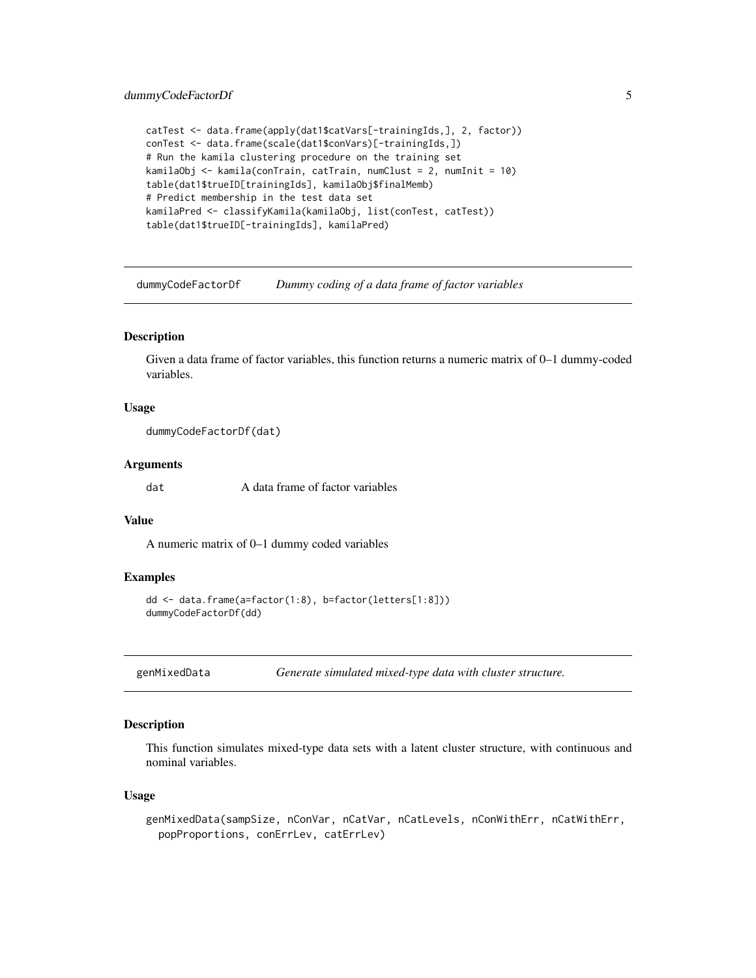#### <span id="page-4-0"></span>dummyCodeFactorDf 5

```
catTest <- data.frame(apply(dat1$catVars[-trainingIds,], 2, factor))
conTest <- data.frame(scale(dat1$conVars)[-trainingIds,])
# Run the kamila clustering procedure on the training set
kamilaObj <- kamila(conTrain, catTrain, numClust = 2, numInit = 10)
table(dat1$trueID[trainingIds], kamilaObj$finalMemb)
# Predict membership in the test data set
kamilaPred <- classifyKamila(kamilaObj, list(conTest, catTest))
table(dat1$trueID[-trainingIds], kamilaPred)
```
<span id="page-4-1"></span>dummyCodeFactorDf *Dummy coding of a data frame of factor variables*

#### Description

Given a data frame of factor variables, this function returns a numeric matrix of 0–1 dummy-coded variables.

#### Usage

dummyCodeFactorDf(dat)

#### Arguments

dat A data frame of factor variables

#### Value

A numeric matrix of 0–1 dummy coded variables

#### Examples

```
dd <- data.frame(a=factor(1:8), b=factor(letters[1:8]))
dummyCodeFactorDf(dd)
```
genMixedData *Generate simulated mixed-type data with cluster structure.*

#### Description

This function simulates mixed-type data sets with a latent cluster structure, with continuous and nominal variables.

#### Usage

```
genMixedData(sampSize, nConVar, nCatVar, nCatLevels, nConWithErr, nCatWithErr,
 popProportions, conErrLev, catErrLev)
```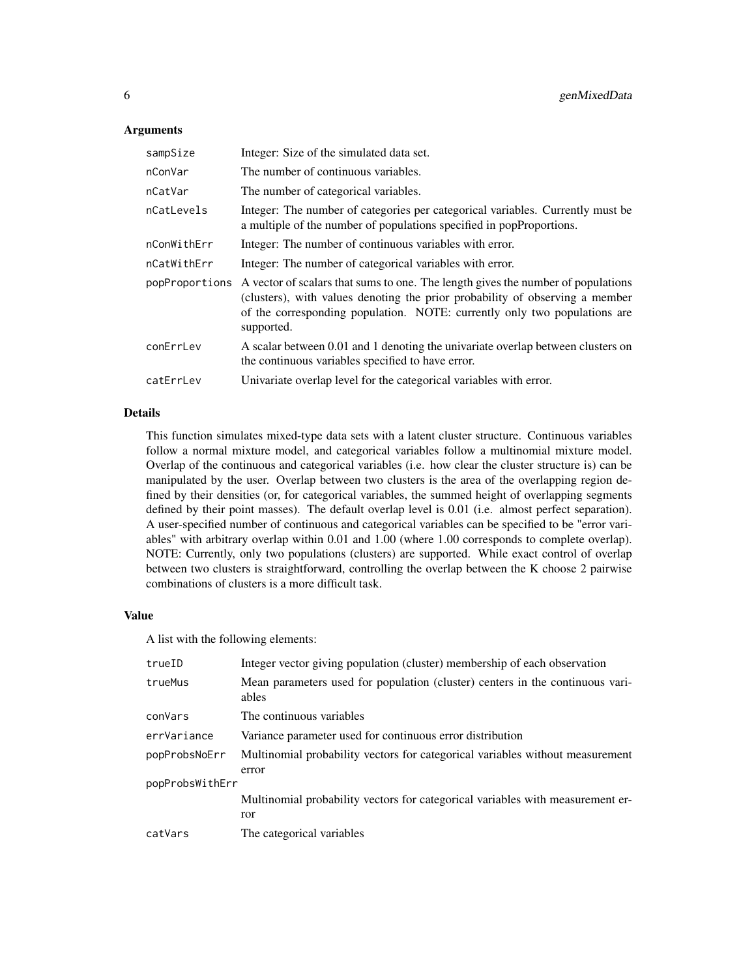#### **Arguments**

| sampSize       | Integer: Size of the simulated data set.                                                                                                                                                                                                                    |
|----------------|-------------------------------------------------------------------------------------------------------------------------------------------------------------------------------------------------------------------------------------------------------------|
| nConVar        | The number of continuous variables.                                                                                                                                                                                                                         |
| nCatVar        | The number of categorical variables.                                                                                                                                                                                                                        |
| nCatLevels     | Integer: The number of categories per categorical variables. Currently must be<br>a multiple of the number of populations specified in popProportions.                                                                                                      |
| nConWithErr    | Integer: The number of continuous variables with error.                                                                                                                                                                                                     |
| nCatWithErr    | Integer: The number of categorical variables with error.                                                                                                                                                                                                    |
| popProportions | A vector of scalars that sums to one. The length gives the number of populations<br>(clusters), with values denoting the prior probability of observing a member<br>of the corresponding population. NOTE: currently only two populations are<br>supported. |
| conErrLev      | A scalar between 0.01 and 1 denoting the univariate overlap between clusters on<br>the continuous variables specified to have error.                                                                                                                        |
| catErrLev      | Univariate overlap level for the categorical variables with error.                                                                                                                                                                                          |

#### Details

This function simulates mixed-type data sets with a latent cluster structure. Continuous variables follow a normal mixture model, and categorical variables follow a multinomial mixture model. Overlap of the continuous and categorical variables (i.e. how clear the cluster structure is) can be manipulated by the user. Overlap between two clusters is the area of the overlapping region defined by their densities (or, for categorical variables, the summed height of overlapping segments defined by their point masses). The default overlap level is 0.01 (i.e. almost perfect separation). A user-specified number of continuous and categorical variables can be specified to be "error variables" with arbitrary overlap within 0.01 and 1.00 (where 1.00 corresponds to complete overlap). NOTE: Currently, only two populations (clusters) are supported. While exact control of overlap between two clusters is straightforward, controlling the overlap between the K choose 2 pairwise combinations of clusters is a more difficult task.

#### Value

A list with the following elements:

| trueID          | Integer vector giving population (cluster) membership of each observation              |
|-----------------|----------------------------------------------------------------------------------------|
| trueMus         | Mean parameters used for population (cluster) centers in the continuous vari-<br>ables |
| conVars         | The continuous variables                                                               |
| errVariance     | Variance parameter used for continuous error distribution                              |
| popProbsNoErr   | Multinomial probability vectors for categorical variables without measurement<br>error |
| popProbsWithErr |                                                                                        |
|                 | Multinomial probability vectors for categorical variables with measurement er-<br>ror  |
| catVars         | The categorical variables                                                              |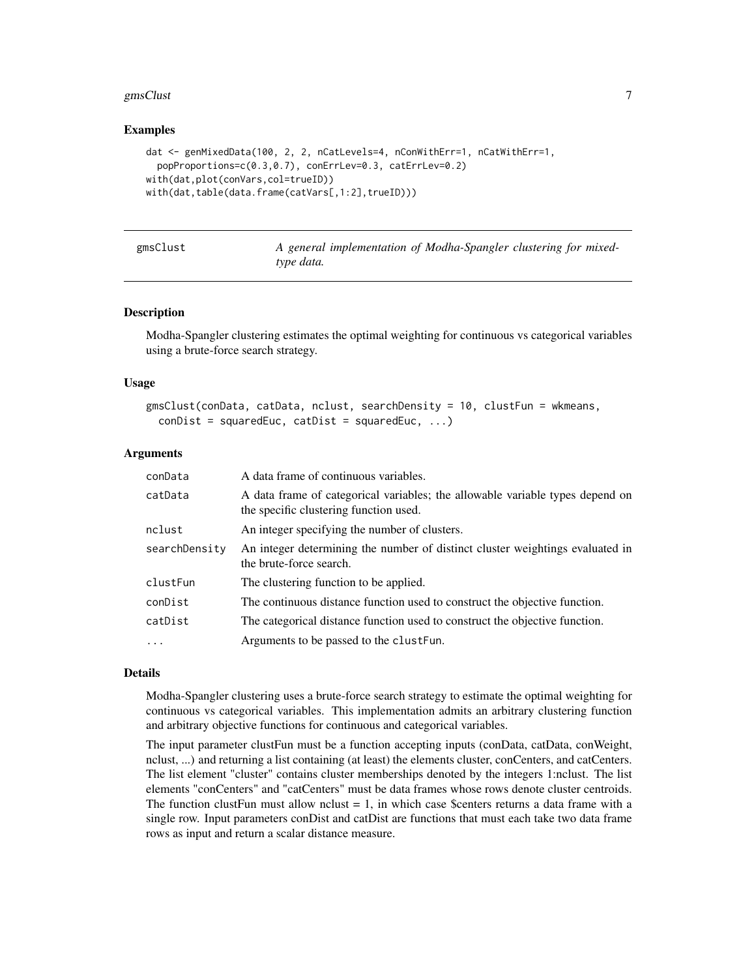#### <span id="page-6-0"></span>gmsClust 7

#### Examples

```
dat <- genMixedData(100, 2, 2, nCatLevels=4, nConWithErr=1, nCatWithErr=1,
 popProportions=c(0.3,0.7), conErrLev=0.3, catErrLev=0.2)
with(dat,plot(conVars,col=trueID))
with(dat,table(data.frame(catVars[,1:2],trueID)))
```

| gmsClust |  |
|----------|--|
|----------|--|

A general implementation of Modha-Spangler clustering for mixed*type data.*

#### Description

Modha-Spangler clustering estimates the optimal weighting for continuous vs categorical variables using a brute-force search strategy.

#### Usage

```
gmsClust(conData, catData, nclust, searchDensity = 10, clustFun = wkmeans,
 conDist = squaredEuc, catDist = squaredEuc, ...)
```
#### Arguments

| conData           | A data frame of continuous variables.                                                                                   |
|-------------------|-------------------------------------------------------------------------------------------------------------------------|
| catData           | A data frame of categorical variables; the allowable variable types depend on<br>the specific clustering function used. |
| nclust            | An integer specifying the number of clusters.                                                                           |
| searchDensity     | An integer determining the number of distinct cluster weightings evaluated in<br>the brute-force search.                |
| clustFun          | The clustering function to be applied.                                                                                  |
| conDist           | The continuous distance function used to construct the objective function.                                              |
| catDist           | The categorical distance function used to construct the objective function.                                             |
| $\cdot\cdot\cdot$ | Arguments to be passed to the clust Fun.                                                                                |

#### Details

Modha-Spangler clustering uses a brute-force search strategy to estimate the optimal weighting for continuous vs categorical variables. This implementation admits an arbitrary clustering function and arbitrary objective functions for continuous and categorical variables.

The input parameter clustFun must be a function accepting inputs (conData, catData, conWeight, nclust, ...) and returning a list containing (at least) the elements cluster, conCenters, and catCenters. The list element "cluster" contains cluster memberships denoted by the integers 1:nclust. The list elements "conCenters" and "catCenters" must be data frames whose rows denote cluster centroids. The function clustFun must allow nclust  $= 1$ , in which case \$centers returns a data frame with a single row. Input parameters conDist and catDist are functions that must each take two data frame rows as input and return a scalar distance measure.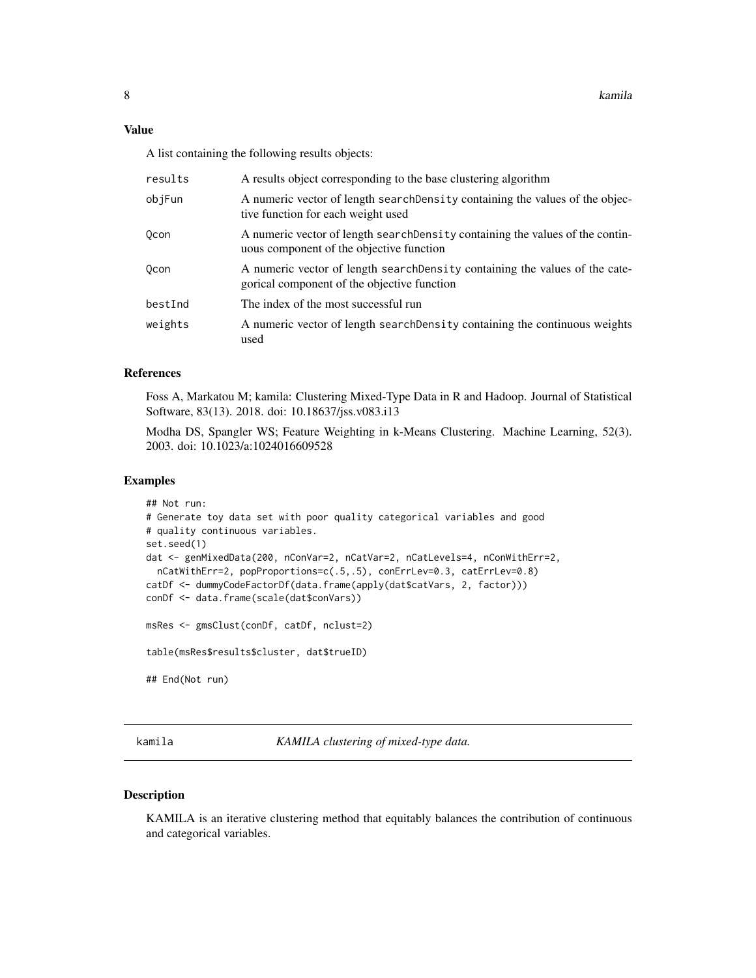<span id="page-7-0"></span>A list containing the following results objects:

| results | A results object corresponding to the base clustering algorithm                                                             |
|---------|-----------------------------------------------------------------------------------------------------------------------------|
| objFun  | A numeric vector of length searchDensity containing the values of the objec-<br>tive function for each weight used          |
| 0con    | A numeric vector of length search Density containing the values of the contin-<br>uous component of the objective function  |
| 0con    | A numeric vector of length search Density containing the values of the cate-<br>gorical component of the objective function |
| bestInd | The index of the most successful run                                                                                        |
| weights | A numeric vector of length search Density containing the continuous weights<br>used                                         |

#### References

Foss A, Markatou M; kamila: Clustering Mixed-Type Data in R and Hadoop. Journal of Statistical Software, 83(13). 2018. doi: 10.18637/jss.v083.i13

Modha DS, Spangler WS; Feature Weighting in k-Means Clustering. Machine Learning, 52(3). 2003. doi: 10.1023/a:1024016609528

#### Examples

```
## Not run:
# Generate toy data set with poor quality categorical variables and good
# quality continuous variables.
set.seed(1)
dat <- genMixedData(200, nConVar=2, nCatVar=2, nCatLevels=4, nConWithErr=2,
 nCatWithErr=2, popProportions=c(.5,.5), conErrLev=0.3, catErrLev=0.8)
catDf <- dummyCodeFactorDf(data.frame(apply(dat$catVars, 2, factor)))
conDf <- data.frame(scale(dat$conVars))
msRes <- gmsClust(conDf, catDf, nclust=2)
table(msRes$results$cluster, dat$trueID)
## End(Not run)
```
kamila *KAMILA clustering of mixed-type data.*

#### Description

KAMILA is an iterative clustering method that equitably balances the contribution of continuous and categorical variables.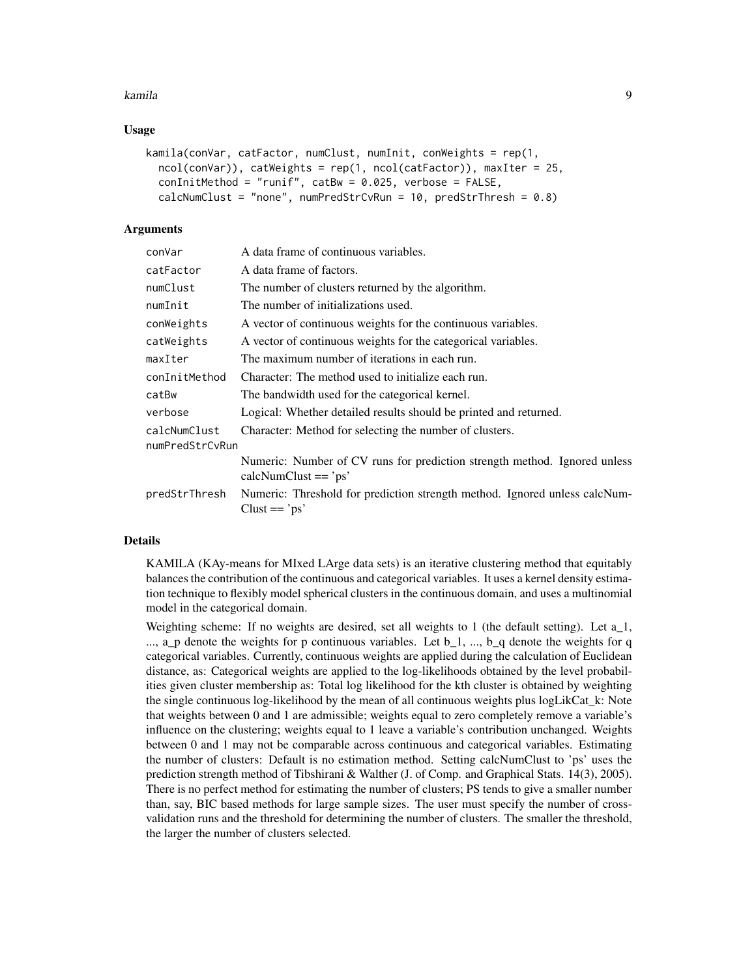#### kamila 9

#### Usage

```
kamila(conVar, catFactor, numClust, numInit, conWeights = rep(1,
 ncol(conVar)), catWeights = rep(1, ncol(catFactor)), maxIter = 25,
 conInitMethod = "runif", catBw = 0.025, verbose = FALSE,calcNumClust = "none", numPredStrCvRun = 10, predStrThresh = 0.8)
```
#### Arguments

| conVar          | A data frame of continuous variables.                                                                 |
|-----------------|-------------------------------------------------------------------------------------------------------|
| catFactor       | A data frame of factors.                                                                              |
| numClust        | The number of clusters returned by the algorithm.                                                     |
| numInit         | The number of initializations used.                                                                   |
| conWeights      | A vector of continuous weights for the continuous variables.                                          |
| catWeights      | A vector of continuous weights for the categorical variables.                                         |
| maxIter         | The maximum number of iterations in each run.                                                         |
| conInitMethod   | Character: The method used to initialize each run.                                                    |
| catBw           | The bandwidth used for the categorical kernel.                                                        |
| verbose         | Logical: Whether detailed results should be printed and returned.                                     |
| calcNumClust    | Character: Method for selecting the number of clusters.                                               |
| numPredStrCvRun |                                                                                                       |
|                 | Numeric: Number of CV runs for prediction strength method. Ignored unless<br>$calN$ umClust $==$ 'ps' |
| predStrThresh   | Numeric: Threshold for prediction strength method. Ignored unless calcNum-<br>$Clust == 'ps'$         |

#### Details

KAMILA (KAy-means for MIxed LArge data sets) is an iterative clustering method that equitably balances the contribution of the continuous and categorical variables. It uses a kernel density estimation technique to flexibly model spherical clusters in the continuous domain, and uses a multinomial model in the categorical domain.

Weighting scheme: If no weights are desired, set all weights to 1 (the default setting). Let a\_1,  $\ldots$ , a\_p denote the weights for p continuous variables. Let b\_1,  $\ldots$ , b\_q denote the weights for q categorical variables. Currently, continuous weights are applied during the calculation of Euclidean distance, as: Categorical weights are applied to the log-likelihoods obtained by the level probabilities given cluster membership as: Total log likelihood for the kth cluster is obtained by weighting the single continuous log-likelihood by the mean of all continuous weights plus logLikCat\_k: Note that weights between 0 and 1 are admissible; weights equal to zero completely remove a variable's influence on the clustering; weights equal to 1 leave a variable's contribution unchanged. Weights between 0 and 1 may not be comparable across continuous and categorical variables. Estimating the number of clusters: Default is no estimation method. Setting calcNumClust to 'ps' uses the prediction strength method of Tibshirani & Walther (J. of Comp. and Graphical Stats. 14(3), 2005). There is no perfect method for estimating the number of clusters; PS tends to give a smaller number than, say, BIC based methods for large sample sizes. The user must specify the number of crossvalidation runs and the threshold for determining the number of clusters. The smaller the threshold, the larger the number of clusters selected.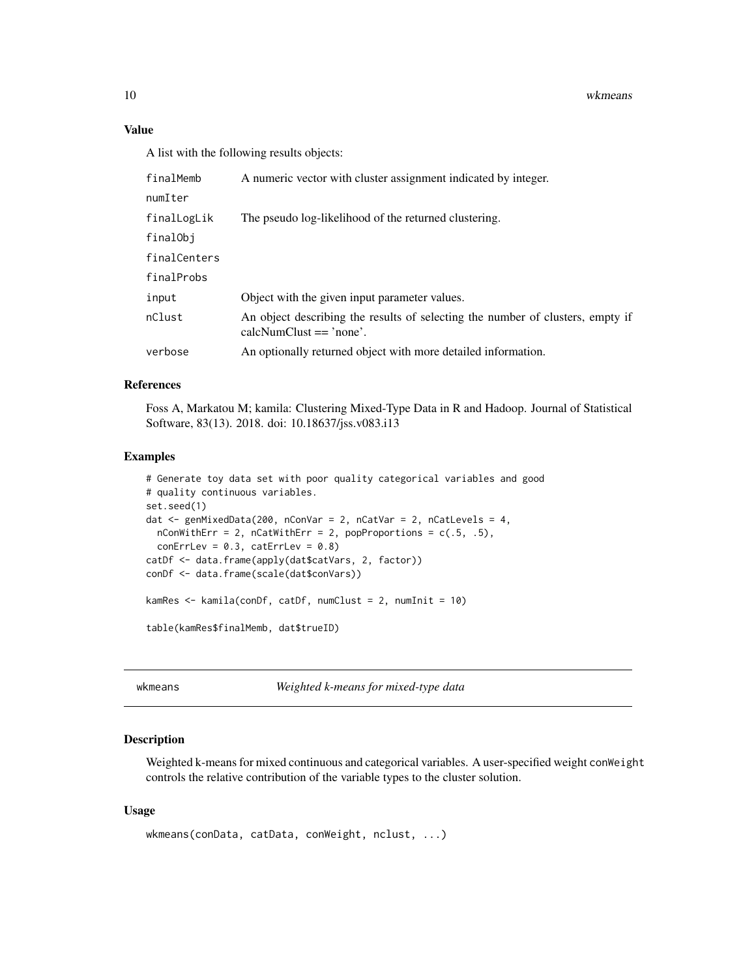10 wkmeans

#### Value

A list with the following results objects:

| finalMemb    | A numeric vector with cluster assignment indicated by integer.                                                |
|--------------|---------------------------------------------------------------------------------------------------------------|
| numIter      |                                                                                                               |
| finalLogLik  | The pseudo log-likelihood of the returned clustering.                                                         |
| finalObj     |                                                                                                               |
| finalCenters |                                                                                                               |
| finalProbs   |                                                                                                               |
| input        | Object with the given input parameter values.                                                                 |
| nClust       | An object describing the results of selecting the number of clusters, empty if<br>$calN$ umClust $==$ 'none'. |
| verbose      | An optionally returned object with more detailed information.                                                 |
|              |                                                                                                               |

#### References

Foss A, Markatou M; kamila: Clustering Mixed-Type Data in R and Hadoop. Journal of Statistical Software, 83(13). 2018. doi: 10.18637/jss.v083.i13

#### Examples

```
# Generate toy data set with poor quality categorical variables and good
# quality continuous variables.
set.seed(1)
dat <- genMixedData(200, nConVar = 2, nCatVar = 2, nCatLevels = 4,
  nConWithErr = 2, nCatWithErr = 2, popProportions = c(.5, .5),
  conErrLev = 0.3, catErrLev = 0.8)
catDf <- data.frame(apply(dat$catVars, 2, factor))
conDf <- data.frame(scale(dat$conVars))
kamRes <- kamila(conDf, catDf, numClust = 2, numInit = 10)
table(kamRes$finalMemb, dat$trueID)
```
wkmeans *Weighted k-means for mixed-type data*

#### Description

Weighted k-means for mixed continuous and categorical variables. A user-specified weight conWeight controls the relative contribution of the variable types to the cluster solution.

#### Usage

```
wkmeans(conData, catData, conWeight, nclust, ...)
```
<span id="page-9-0"></span>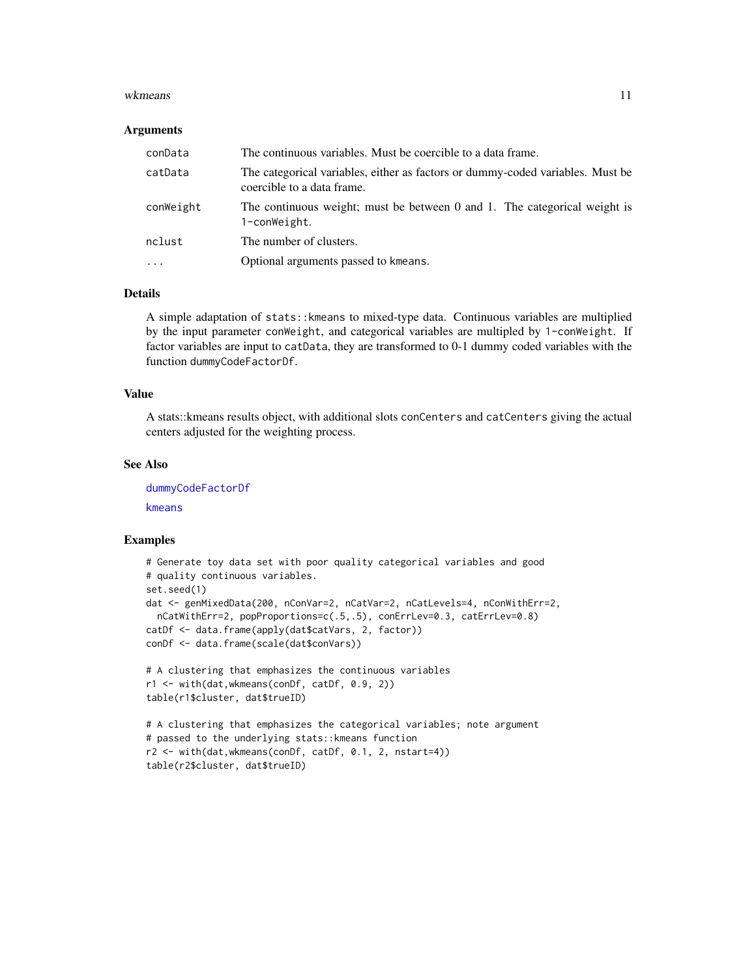#### <span id="page-10-0"></span>wkmeans and the state of the state of the state of the state of the state of the state of the state of the state of the state of the state of the state of the state of the state of the state of the state of the state of th

#### Arguments

| conData    | The continuous variables. Must be coercible to a data frame.                                                 |
|------------|--------------------------------------------------------------------------------------------------------------|
| catData    | The categorical variables, either as factors or dummy-coded variables. Must be<br>coercible to a data frame. |
| conWeight  | The continuous weight; must be between 0 and 1. The categorical weight is<br>1-conWeight.                    |
| nclust     | The number of clusters.                                                                                      |
| $\ddots$ . | Optional arguments passed to kmeans.                                                                         |

#### Details

A simple adaptation of stats::kmeans to mixed-type data. Continuous variables are multiplied by the input parameter conWeight, and categorical variables are multipled by 1-conWeight. If factor variables are input to catData, they are transformed to 0-1 dummy coded variables with the function dummyCodeFactorDf.

#### Value

A stats::kmeans results object, with additional slots conCenters and catCenters giving the actual centers adjusted for the weighting process.

#### See Also

[dummyCodeFactorDf](#page-4-1) [kmeans](#page-0-0)

#### Examples

```
# Generate toy data set with poor quality categorical variables and good
# quality continuous variables.
set.seed(1)
dat <- genMixedData(200, nConVar=2, nCatVar=2, nCatLevels=4, nConWithErr=2,
 nCatWithErr=2, popProportions=c(.5,.5), conErrLev=0.3, catErrLev=0.8)
catDf <- data.frame(apply(dat$catVars, 2, factor))
conDf <- data.frame(scale(dat$conVars))
# A clustering that emphasizes the continuous variables
r1 <- with(dat,wkmeans(conDf, catDf, 0.9, 2))
table(r1$cluster, dat$trueID)
# A clustering that emphasizes the categorical variables; note argument
# passed to the underlying stats::kmeans function
r2 <- with(dat,wkmeans(conDf, catDf, 0.1, 2, nstart=4))
table(r2$cluster, dat$trueID)
```